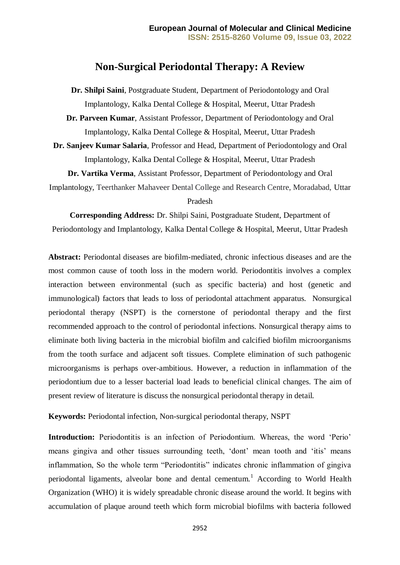# **Non-Surgical Periodontal Therapy: A Review**

**Dr. Shilpi Saini**, Postgraduate Student, Department of Periodontology and Oral Implantology, Kalka Dental College & Hospital, Meerut, Uttar Pradesh

**Dr. Parveen Kumar**, Assistant Professor, Department of Periodontology and Oral Implantology, Kalka Dental College & Hospital, Meerut, Uttar Pradesh

**Dr. Sanjeev Kumar Salaria**, Professor and Head, Department of Periodontology and Oral Implantology, Kalka Dental College & Hospital, Meerut, Uttar Pradesh

**Dr. Vartika Verma**, Assistant Professor, Department of Periodontology and Oral

Implantology, Teerthanker Mahaveer Dental College and Research Centre, Moradabad, Uttar Pradesh

**Corresponding Address:** Dr. Shilpi Saini, Postgraduate Student, Department of Periodontology and Implantology, Kalka Dental College & Hospital, Meerut, Uttar Pradesh

**Abstract:** Periodontal diseases are biofilm-mediated, chronic infectious diseases and are the most common cause of tooth loss in the modern world. Periodontitis involves a complex interaction between environmental (such as specific bacteria) and host (genetic and immunological) factors that leads to loss of periodontal attachment apparatus. Nonsurgical periodontal therapy (NSPT) is the cornerstone of periodontal therapy and the first recommended approach to the control of periodontal infections. Nonsurgical therapy aims to eliminate both living bacteria in the microbial biofilm and calcified biofilm microorganisms from the tooth surface and adjacent soft tissues. Complete elimination of such pathogenic microorganisms is perhaps over-ambitious. However, a reduction in inflammation of the periodontium due to a lesser bacterial load leads to beneficial clinical changes. The aim of present review of literature is discuss the nonsurgical periodontal therapy in detail.

**Keywords:** Periodontal infection, Non-surgical periodontal therapy, NSPT

**Introduction:** Periodontitis is an infection of Periodontium. Whereas, the word 'Perio' means gingiva and other tissues surrounding teeth, 'dont' mean tooth and 'itis' means inflammation, So the whole term "Periodontitis" indicates chronic inflammation of gingiva periodontal ligaments, alveolar bone and dental cementum.<sup>1</sup> According to World Health Organization (WHO) it is widely spreadable chronic disease around the world. It begins with accumulation of plaque around teeth which form microbial biofilms with bacteria followed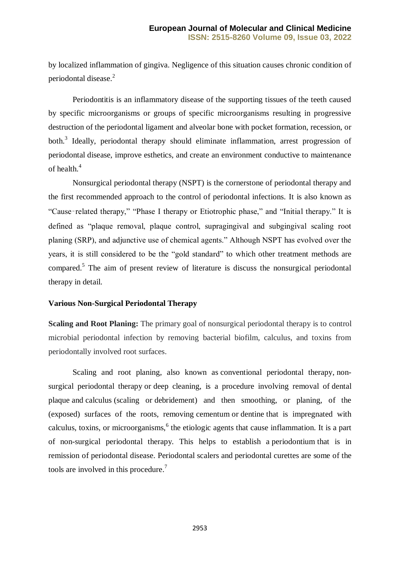by localized inflammation of gingiva. Negligence of this situation causes chronic condition of periodontal disease.<sup>2</sup>

Periodontitis is an inflammatory disease of the supporting tissues of the teeth caused by specific microorganisms or groups of specific microorganisms resulting in progressive destruction of the periodontal ligament and alveolar bone with pocket formation, recession, or both.<sup>3</sup> Ideally, periodontal therapy should eliminate inflammation, arrest progression of periodontal disease, improve esthetics, and create an environment conductive to maintenance of health.<sup>4</sup>

Nonsurgical periodontal therapy (NSPT) is the cornerstone of periodontal therapy and the first recommended approach to the control of periodontal infections. It is also known as "Cause‑related therapy," "Phase I therapy or Etiotrophic phase," and "Initial therapy." It is defined as "plaque removal, plaque control, supragingival and subgingival scaling root planing (SRP), and adjunctive use of chemical agents." Although NSPT has evolved over the years, it is still considered to be the "gold standard" to which other treatment methods are compared.<sup>5</sup> The aim of present review of literature is discuss the nonsurgical periodontal therapy in detail.

#### **Various Non-Surgical Periodontal Therapy**

**Scaling and Root Planing:** The primary goal of nonsurgical periodontal therapy is to control microbial periodontal infection by removing bacterial biofilm, calculus, and toxins from periodontally involved root surfaces.

Scaling and root planing, also known as conventional periodontal therapy, nonsurgical periodontal therapy or deep cleaning, is a procedure involving removal of [dental](https://en.wikipedia.org/wiki/Dental_plaque)  [plaque](https://en.wikipedia.org/wiki/Dental_plaque) and [calculus](https://en.wikipedia.org/wiki/Calculus_(dental)) (scaling or [debridement\)](https://en.wikipedia.org/wiki/Debridement_(dental)) and then smoothing, or planing, of the (exposed) surfaces of the roots, removing [cementum](https://en.wikipedia.org/wiki/Cementum) or [dentine](https://en.wikipedia.org/wiki/Dentine) that is impregnated with calculus, toxins, or microorganisms,<sup>6</sup> the etiologic agents that cause inflammation. It is a part of non-surgical periodontal therapy. This helps to establish a [periodontium](https://en.wikipedia.org/wiki/Periodontium) that is in remission of periodontal disease. [Periodontal scalers](https://en.wikipedia.org/wiki/Periodontal_scaler) and [periodontal curettes](https://en.wikipedia.org/wiki/Periodontal_curette) are some of the tools are involved in this procedure. 7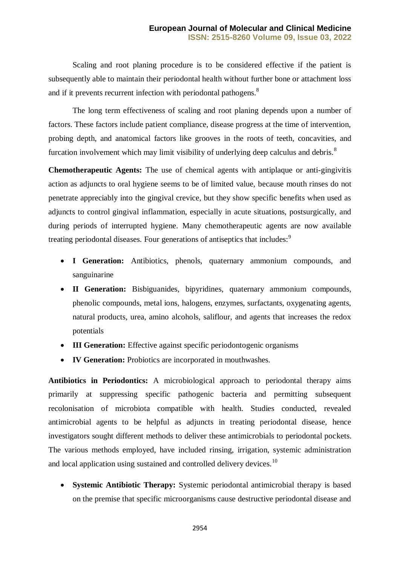Scaling and root planing procedure is to be considered effective if the patient is subsequently able to maintain their periodontal health without further bone or attachment loss and if it prevents recurrent infection with [periodontal pathogens.](https://en.wikipedia.org/wiki/Periodontal_disease)<sup>8</sup>

The long term effectiveness of scaling and root planing depends upon a number of factors. These factors include patient compliance, disease progress at the time of intervention, probing depth, and anatomical factors like grooves in the roots of teeth, concavities, and furcation involvement which may limit visibility of underlying deep calculus and debris.<sup>8</sup>

**Chemotherapeutic Agents:** The use of chemical agents with antiplaque or anti-gingivitis action as adjuncts to oral hygiene seems to be of limited value, because mouth rinses do not penetrate appreciably into the gingival crevice, but they show specific benefits when used as adjuncts to control gingival inflammation, especially in acute situations, postsurgically, and during periods of interrupted hygiene. Many chemotherapeutic agents are now available treating periodontal diseases. Four generations of antiseptics that includes:<sup>9</sup>

- **I Generation:** Antibiotics, phenols, quaternary ammonium compounds, and sanguinarine
- **II Generation:** Bisbiguanides, bipyridines, quaternary ammonium compounds, phenolic compounds, metal ions, halogens, enzymes, surfactants, oxygenating agents, natural products, urea, amino alcohols, saliflour, and agents that increases the redox potentials
- **III Generation:** Effective against specific periodontogenic organisms
- **IV Generation:** Probiotics are incorporated in mouthwashes.

**Antibiotics in Periodontics:** A microbiological approach to periodontal therapy aims primarily at suppressing specific pathogenic bacteria and permitting subsequent recolonisation of microbiota compatible with health. Studies conducted, revealed antimicrobial agents to be helpful as adjuncts in treating periodontal disease, hence investigators sought different methods to deliver these antimicrobials to periodontal pockets. The various methods employed, have included rinsing, irrigation, systemic administration and local application using sustained and controlled delivery devices.<sup>10</sup>

 **Systemic Antibiotic Therapy:** Systemic periodontal antimicrobial therapy is based on the premise that specific microorganisms cause destructive periodontal disease and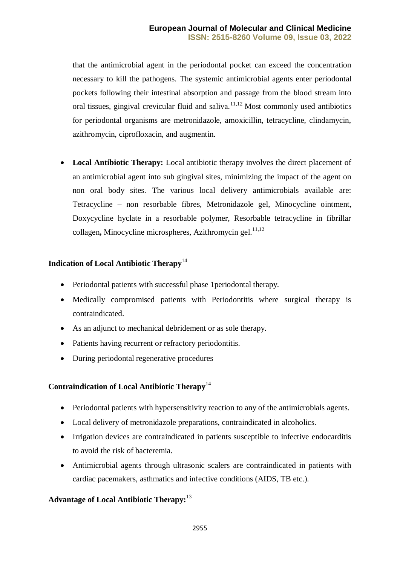that the antimicrobial agent in the periodontal pocket can exceed the concentration necessary to kill the pathogens. The systemic antimicrobial agents enter periodontal pockets following their intestinal absorption and passage from the blood stream into oral tissues, gingival crevicular fluid and saliva.<sup>11,12</sup> Most commonly used antibiotics for periodontal organisms are metronidazole, amoxicillin, tetracycline, clindamycin, azithromycin, ciprofloxacin, and augmentin.

 **Local Antibiotic Therapy:** Local antibiotic therapy involves the direct placement of an antimicrobial agent into sub gingival sites, minimizing the impact of the agent on non oral body sites. The various local delivery antimicrobials available are: Tetracycline – non resorbable fibres, Metronidazole gel, Minocycline ointment, Doxycycline hyclate in a resorbable polymer, Resorbable tetracycline in fibrillar collagen**,** Minocycline microspheres, Azithromycin gel. 11,12

## **Indication of Local Antibiotic Therapy**<sup>14</sup>

- Periodontal patients with successful phase 1 periodontal therapy.
- Medically compromised patients with Periodontitis where surgical therapy is contraindicated.
- As an adjunct to mechanical debridement or as sole therapy.
- Patients having recurrent or refractory periodontitis.
- During periodontal regenerative procedures

### **Contraindication of Local Antibiotic Therapy**<sup>14</sup>

- Periodontal patients with hypersensitivity reaction to any of the antimicrobials agents.
- Local delivery of metronidazole preparations, contraindicated in alcoholics.
- Irrigation devices are contraindicated in patients susceptible to infective endocarditis to avoid the risk of bacteremia.
- Antimicrobial agents through ultrasonic scalers are contraindicated in patients with cardiac pacemakers, asthmatics and infective conditions (AIDS, TB etc.).

# **Advantage of Local Antibiotic Therapy:**<sup>13</sup>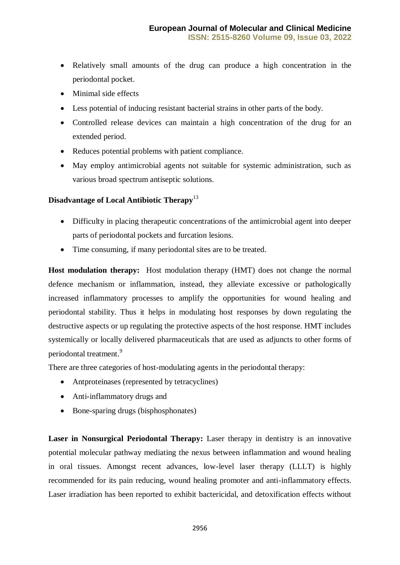- Relatively small amounts of the drug can produce a high concentration in the periodontal pocket.
- Minimal side effects
- Less potential of inducing resistant bacterial strains in other parts of the body.
- Controlled release devices can maintain a high concentration of the drug for an extended period.
- Reduces potential problems with patient compliance.
- May employ antimicrobial agents not suitable for systemic administration, such as various broad spectrum antiseptic solutions.

## **Disadvantage of Local Antibiotic Therapy**<sup>13</sup>

- Difficulty in placing therapeutic concentrations of the antimicrobial agent into deeper parts of periodontal pockets and furcation lesions.
- Time consuming, if many periodontal sites are to be treated.

**Host modulation therapy:** Host modulation therapy (HMT) does not change the normal defence mechanism or inflammation, instead, they alleviate excessive or pathologically increased inflammatory processes to amplify the opportunities for wound healing and periodontal stability. Thus it helps in modulating host responses by down regulating the destructive aspects or up regulating the protective aspects of the host response. HMT includes systemically or locally delivered pharmaceuticals that are used as adjuncts to other forms of periodontal treatment.<sup>9</sup>

There are three categories of host-modulating agents in the periodontal therapy:

- Antproteinases (represented by tetracyclines)
- Anti-inflammatory drugs and
- Bone-sparing drugs (bisphosphonates)

**Laser in Nonsurgical Periodontal Therapy:** Laser therapy in dentistry is an innovative potential molecular pathway mediating the nexus between inflammation and wound healing in oral tissues. Amongst recent advances, low-level laser therapy (LLLT) is highly recommended for its pain reducing, wound healing promoter and anti-inflammatory effects. Laser irradiation has been reported to exhibit bactericidal, and detoxification effects without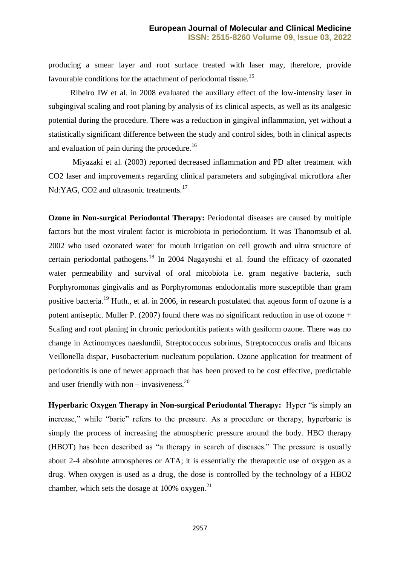producing a smear layer and root surface treated with laser may, therefore, provide favourable conditions for the attachment of periodontal tissue.<sup>15</sup>

Ribeiro IW et al. in 2008 evaluated the auxiliary effect of the low-intensity laser in subgingival scaling and root planing by analysis of its clinical aspects, as well as its analgesic potential during the procedure. There was a reduction in gingival inflammation, yet without a statistically significant difference between the study and control sides, both in clinical aspects and evaluation of pain during the procedure.<sup>16</sup>

Miyazaki et al. (2003) reported decreased inflammation and PD after treatment with CO2 laser and improvements regarding clinical parameters and subgingival microflora after Nd:YAG, CO2 and ultrasonic treatments.<sup>17</sup>

**Ozone in Non-surgical Periodontal Therapy:** Periodontal diseases are caused by multiple factors but the most virulent factor is microbiota in periodontium. It was Thanomsub et al. 2002 who used ozonated water for mouth irrigation on cell growth and ultra structure of certain periodontal pathogens.<sup>18</sup> In 2004 Nagayoshi et al. found the efficacy of ozonated water permeability and survival of oral micobiota i.e. gram negative bacteria, such Porphyromonas gingivalis and as Porphyromonas endodontalis more susceptible than gram positive bacteria.<sup>19</sup> Huth., et al. in 2006, in research postulated that ageous form of ozone is a potent antiseptic. Muller P. (2007) found there was no significant reduction in use of ozone + Scaling and root planing in chronic periodontitis patients with gasiform ozone. There was no change in Actinomyces naeslundii, Streptococcus sobrinus, Streptococcus oralis and lbicans Veillonella dispar, Fusobacterium nucleatum population. Ozone application for treatment of periodontitis is one of newer approach that has been proved to be cost effective, predictable and user friendly with non – invasiveness. $20$ 

**Hyperbaric Oxygen Therapy in Non-surgical Periodontal Therapy:** Hyper "is simply an increase," while "baric" refers to the pressure. As a procedure or therapy, hyperbaric is simply the process of increasing the atmospheric pressure around the body. HBO therapy (HBOT) has been described as "a therapy in search of diseases." The pressure is usually about 2-4 absolute atmospheres or ATA; it is essentially the therapeutic use of oxygen as a drug. When oxygen is used as a drug, the dose is controlled by the technology of a HBO2 chamber, which sets the dosage at  $100\%$  oxygen.<sup>21</sup>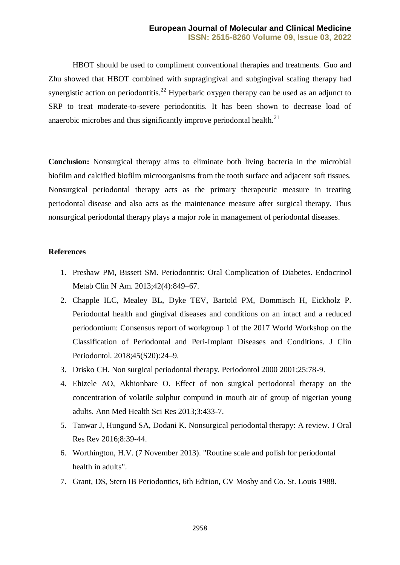HBOT should be used to compliment conventional therapies and treatments. Guo and Zhu showed that HBOT combined with supragingival and subgingival scaling therapy had synergistic action on periodontitis.<sup>22</sup> Hyperbaric oxygen therapy can be used as an adjunct to SRP to treat moderate-to-severe periodontitis. It has been shown to decrease load of anaerobic microbes and thus significantly improve periodontal health. $^{21}$ 

**Conclusion:** Nonsurgical therapy aims to eliminate both living bacteria in the microbial biofilm and calcified biofilm microorganisms from the tooth surface and adjacent soft tissues. Nonsurgical periodontal therapy acts as the primary therapeutic measure in treating periodontal disease and also acts as the maintenance measure after surgical therapy. Thus nonsurgical periodontal therapy plays a major role in management of periodontal diseases.

#### **References**

- 1. Preshaw PM, Bissett SM. Periodontitis: Oral Complication of Diabetes. Endocrinol Metab Clin N Am. 2013;42(4):849–67.
- 2. Chapple ILC, Mealey BL, Dyke TEV, Bartold PM, Dommisch H, Eickholz P. Periodontal health and gingival diseases and conditions on an intact and a reduced periodontium: Consensus report of workgroup 1 of the 2017 World Workshop on the Classification of Periodontal and Peri-Implant Diseases and Conditions. J Clin Periodontol. 2018;45(S20):24–9.
- 3. Drisko CH. Non surgical periodontal therapy. Periodontol 2000 2001;25:78-9.
- 4. Ehizele AO, Akhionbare O. Effect of non surgical periodontal therapy on the concentration of volatile sulphur compund in mouth air of group of nigerian young adults. Ann Med Health Sci Res 2013;3:433-7.
- 5. Tanwar J, Hungund SA, Dodani K. Nonsurgical periodontal therapy: A review. J Oral Res Rev 2016;8:39-44.
- 6. Worthington, H.V. (7 November 2013). ["Routine scale and polish for periodontal](http://www.cochrane.org/CD004625/ORAL_routine-scale-and-polish-for-periodontal-health-in-adults)  [health in adults".](http://www.cochrane.org/CD004625/ORAL_routine-scale-and-polish-for-periodontal-health-in-adults)
- 7. Grant, DS, Stern IB Periodontics, 6th Edition, CV Mosby and Co. St. Louis 1988.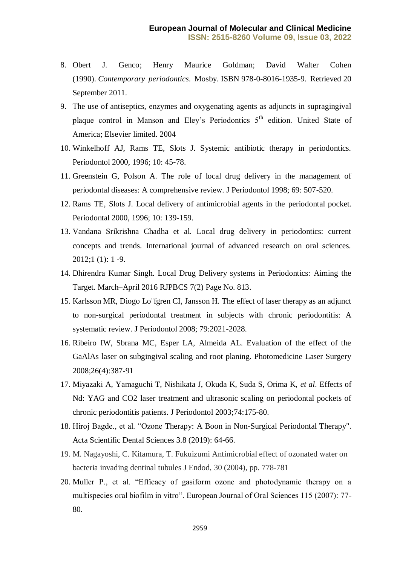- 8. Obert J. Genco; Henry Maurice Goldman; David Walter Cohen (1990). *[Contemporary periodontics](https://books.google.com/books?id=nO5pAAAAMAAJ)*. Mosby. [ISBN](https://en.wikipedia.org/wiki/ISBN_(identifier)) [978-0-8016-1935-9.](https://en.wikipedia.org/wiki/Special:BookSources/978-0-8016-1935-9) Retrieved 20 September 2011.
- 9. The use of antiseptics, enzymes and oxygenating agents as adjuncts in supragingival plaque control in Manson and Eley's Periodontics 5<sup>th</sup> edition. United State of America; Elsevier limited. 2004
- 10. Winkelhoff AJ, Rams TE, Slots J. Systemic antibiotic therapy in periodontics. Periodontol 2000, 1996; 10: 45-78.
- 11. Greenstein G, Polson A. The role of local drug delivery in the management of periodontal diseases: A comprehensive review. J Periodontol 1998; 69: 507-520.
- 12. Rams TE, Slots J. Local delivery of antimicrobial agents in the periodontal pocket. Periodontal 2000, 1996; 10: 139-159.
- 13. Vandana Srikrishna Chadha et al. Local drug delivery in periodontics: current concepts and trends. International journal of advanced research on oral sciences. 2012;1 (1): 1 -9.
- 14. Dhirendra Kumar Singh. Local Drug Delivery systems in Periodontics: Aiming the Target. March–April 2016 RJPBCS 7(2) Page No. 813.
- 15. Karlsson MR, Diogo Lo¨fgren CI, Jansson H. The effect of laser therapy as an adjunct to non-surgical periodontal treatment in subjects with chronic periodontitis: A systematic review. J Periodontol 2008; 79:2021-2028.
- 16. Ribeiro IW, Sbrana MC, Esper LA, Almeida AL. Evaluation of the effect of the GaAlAs laser on subgingival scaling and root planing. Photomedicine Laser Surgery 2008;26(4):387-91
- 17. Miyazaki A, Yamaguchi T, Nishikata J, Okuda K, Suda S, Orima K, *et al*. Effects of Nd: YAG and CO2 laser treatment and ultrasonic scaling on periodontal pockets of chronic periodontitis patients. J Periodontol 2003;74:175-80.
- 18. Hiroj Bagde., et al. "Ozone Therapy: A Boon in Non-Surgical Periodontal Therapy". Acta Scientific Dental Sciences 3.8 (2019): 64-66.
- 19. M. Nagayoshi, C. Kitamura, T. Fukuizumi Antimicrobial effect of ozonated water on bacteria invading dentinal tubules J Endod, 30 (2004), pp. 778-781
- 20. Muller P., et al. "Efficacy of gasiform ozone and photodynamic therapy on a multispecies oral biofilm in vitro". European Journal of Oral Sciences 115 (2007): 77- 80.